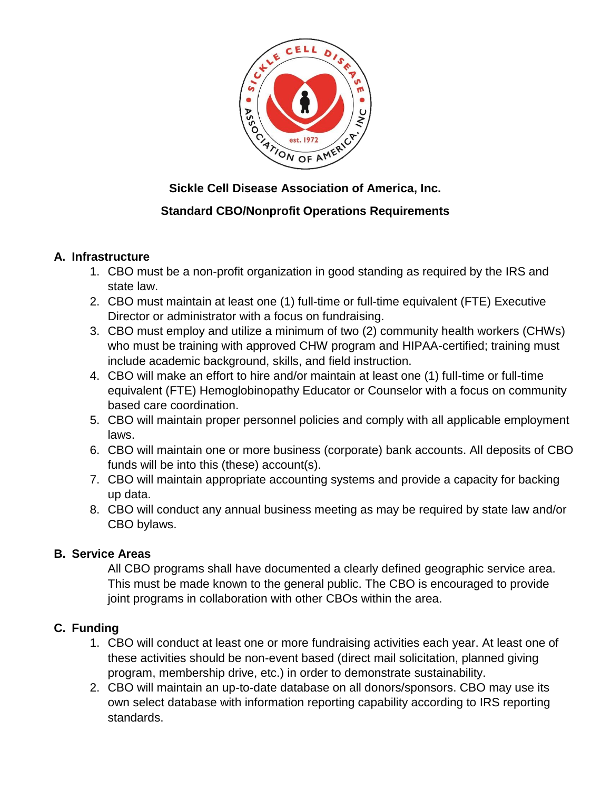

# **Sickle Cell Disease Association of America, Inc.**

# **Standard CBO/Nonprofit Operations Requirements**

## **A. Infrastructure**

- 1. CBO must be a non-profit organization in good standing as required by the IRS and state law.
- 2. CBO must maintain at least one (1) full-time or full-time equivalent (FTE) Executive Director or administrator with a focus on fundraising.
- 3. CBO must employ and utilize a minimum of two (2) community health workers (CHWs) who must be training with approved CHW program and HIPAA-certified; training must include academic background, skills, and field instruction.
- 4. CBO will make an effort to hire and/or maintain at least one (1) full-time or full-time equivalent (FTE) Hemoglobinopathy Educator or Counselor with a focus on community based care coordination.
- 5. CBO will maintain proper personnel policies and comply with all applicable employment laws.
- 6. CBO will maintain one or more business (corporate) bank accounts. All deposits of CBO funds will be into this (these) account(s).
- 7. CBO will maintain appropriate accounting systems and provide a capacity for backing up data.
- 8. CBO will conduct any annual business meeting as may be required by state law and/or CBO bylaws.

## **B. Service Areas**

All CBO programs shall have documented a clearly defined geographic service area. This must be made known to the general public. The CBO is encouraged to provide joint programs in collaboration with other CBOs within the area.

## **C. Funding**

- 1. CBO will conduct at least one or more fundraising activities each year. At least one of these activities should be non-event based (direct mail solicitation, planned giving program, membership drive, etc.) in order to demonstrate sustainability.
- 2. CBO will maintain an up-to-date database on all donors/sponsors. CBO may use its own select database with information reporting capability according to IRS reporting standards.